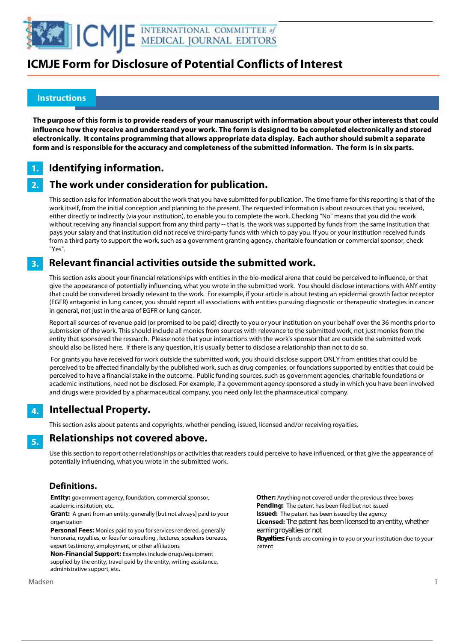

### **Instructions**

**The purpose of this form is to provide readers of your manuscript with information about your other interests that could influence how they receive and understand your work. The form is designed to be completed electronically and stored electronically. It contains programming that allows appropriate data display. Each author should submit a separate form and is responsible for the accuracy and completeness of the submitted information. The form is in six parts.** 

#### **Identifying information. 1.**

#### **The work under consideration for publication. 2.**

This section asks for information about the work that you have submitted for publication. The time frame for this reporting is that of the work itself, from the initial conception and planning to the present. The requested information is about resources that you received, either directly or indirectly (via your institution), to enable you to complete the work. Checking "No" means that you did the work without receiving any financial support from any third party -- that is, the work was supported by funds from the same institution that pays your salary and that institution did not receive third-party funds with which to pay you. If you or your institution received funds from a third party to support the work, such as a government granting agency, charitable foundation or commercial sponsor, check "Yes".

#### **Relevant financial activities outside the submitted work. 3.**

This section asks about your financial relationships with entities in the bio-medical arena that could be perceived to influence, or that give the appearance of potentially influencing, what you wrote in the submitted work. You should disclose interactions with ANY entity that could be considered broadly relevant to the work. For example, if your article is about testing an epidermal growth factor receptor (EGFR) antagonist in lung cancer, you should report all associations with entities pursuing diagnostic or therapeutic strategies in cancer in general, not just in the area of EGFR or lung cancer.

Report all sources of revenue paid (or promised to be paid) directly to you or your institution on your behalf over the 36 months prior to submission of the work. This should include all monies from sources with relevance to the submitted work, not just monies from the entity that sponsored the research. Please note that your interactions with the work's sponsor that are outside the submitted work should also be listed here. If there is any question, it is usually better to disclose a relationship than not to do so.

 For grants you have received for work outside the submitted work, you should disclose support ONLY from entities that could be perceived to be affected financially by the published work, such as drug companies, or foundations supported by entities that could be perceived to have a financial stake in the outcome. Public funding sources, such as government agencies, charitable foundations or academic institutions, need not be disclosed. For example, if a government agency sponsored a study in which you have been involved and drugs were provided by a pharmaceutical company, you need only list the pharmaceutical company.

#### **Intellectual Property. 4.**

This section asks about patents and copyrights, whether pending, issued, licensed and/or receiving royalties.

#### **Relationships not covered above. 5.**

Use this section to report other relationships or activities that readers could perceive to have influenced, or that give the appearance of potentially influencing, what you wrote in the submitted work.

### **Definitions.**

**Entity:** government agency, foundation, commercial sponsor, academic institution, etc.

**Grant:** A grant from an entity, generally [but not always] paid to your organization

**Personal Fees:** Monies paid to you for services rendered, generally honoraria, royalties, or fees for consulting , lectures, speakers bureaus, expert testimony, employment, or other affiliations

**Non-Financial Support:** Examples include drugs/equipment supplied by the entity, travel paid by the entity, writing assistance, administrative support, etc**.**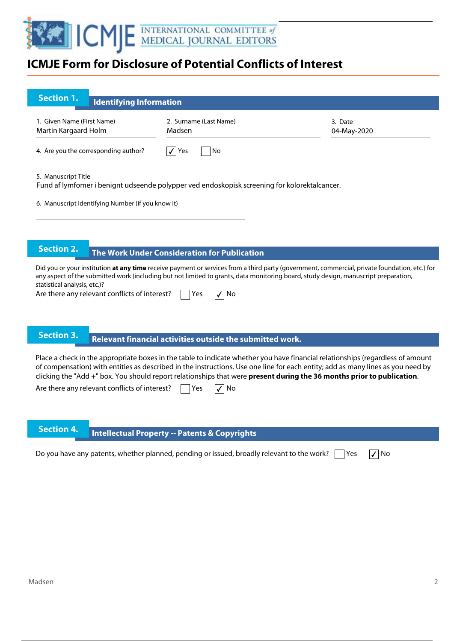

| <b>Section 1.</b><br><b>Identifying Information</b>                                                                                                                                                                                                                                                                                                                                                                                                                  |                                                           |                        |  |  |
|----------------------------------------------------------------------------------------------------------------------------------------------------------------------------------------------------------------------------------------------------------------------------------------------------------------------------------------------------------------------------------------------------------------------------------------------------------------------|-----------------------------------------------------------|------------------------|--|--|
| 1. Given Name (First Name)<br>Martin Kargaard Holm                                                                                                                                                                                                                                                                                                                                                                                                                   | 2. Surname (Last Name)<br>Madsen                          | 3. Date<br>04-May-2020 |  |  |
| 4. Are you the corresponding author?                                                                                                                                                                                                                                                                                                                                                                                                                                 | $\sqrt{ Y}$ es<br>No                                      |                        |  |  |
| 5. Manuscript Title<br>Fund af lymfomer i benignt udseende polypper ved endoskopisk screening for kolorektalcancer.                                                                                                                                                                                                                                                                                                                                                  |                                                           |                        |  |  |
| 6. Manuscript Identifying Number (if you know it)                                                                                                                                                                                                                                                                                                                                                                                                                    |                                                           |                        |  |  |
|                                                                                                                                                                                                                                                                                                                                                                                                                                                                      |                                                           |                        |  |  |
| <b>Section 2.</b>                                                                                                                                                                                                                                                                                                                                                                                                                                                    | <b>The Work Under Consideration for Publication</b>       |                        |  |  |
| Did you or your institution at any time receive payment or services from a third party (government, commercial, private foundation, etc.) for<br>any aspect of the submitted work (including but not limited to grants, data monitoring board, study design, manuscript preparation,<br>statistical analysis, etc.)?<br>Are there any relevant conflicts of interest?<br>$\sqrt{ }$ No<br>Yes                                                                        |                                                           |                        |  |  |
|                                                                                                                                                                                                                                                                                                                                                                                                                                                                      |                                                           |                        |  |  |
| <b>Section 3.</b>                                                                                                                                                                                                                                                                                                                                                                                                                                                    | Relevant financial activities outside the submitted work. |                        |  |  |
| Place a check in the appropriate boxes in the table to indicate whether you have financial relationships (regardless of amount<br>of compensation) with entities as described in the instructions. Use one line for each entity; add as many lines as you need by<br>clicking the "Add +" box. You should report relationships that were present during the 36 months prior to publication.<br>Are there any relevant conflicts of interest?<br>$\sqrt{ }$ No<br>Yes |                                                           |                        |  |  |
| <b>Section 4.</b>                                                                                                                                                                                                                                                                                                                                                                                                                                                    | <b>Intellectual Property -- Patents &amp; Copyrights</b>  |                        |  |  |

Do you have any patents, whether planned, pending or issued, broadly relevant to the work?  $\Box$  Yes  $\Box$  No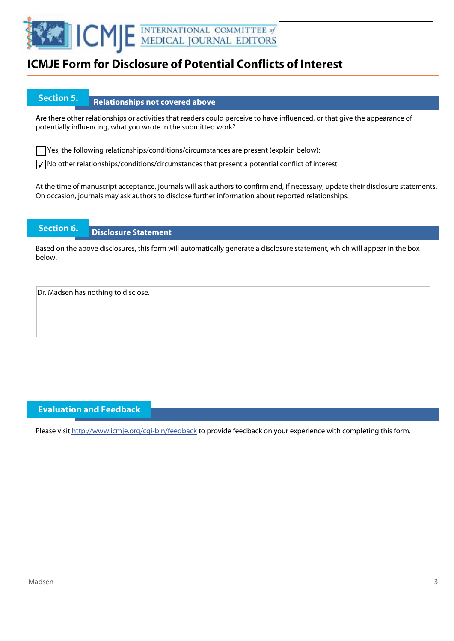

## **Section 5.** Relationships not covered above

Are there other relationships or activities that readers could perceive to have influenced, or that give the appearance of potentially influencing, what you wrote in the submitted work?

Yes, the following relationships/conditions/circumstances are present (explain below):

 $\sqrt{\sqrt{}}$  No other relationships/conditions/circumstances that present a potential conflict of interest

At the time of manuscript acceptance, journals will ask authors to confirm and, if necessary, update their disclosure statements. On occasion, journals may ask authors to disclose further information about reported relationships.

### **Section 6. Disclosure Statement**

Based on the above disclosures, this form will automatically generate a disclosure statement, which will appear in the box below.

Dr. Madsen has nothing to disclose.

### **Evaluation and Feedback**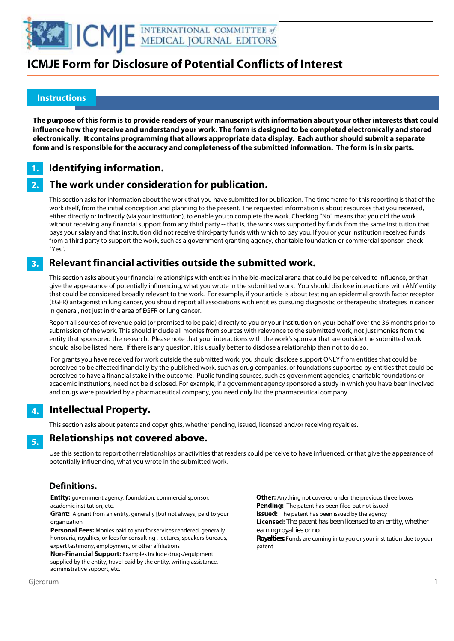

### **Instructions**

**The purpose of this form is to provide readers of your manuscript with information about your other interests that could influence how they receive and understand your work. The form is designed to be completed electronically and stored electronically. It contains programming that allows appropriate data display. Each author should submit a separate form and is responsible for the accuracy and completeness of the submitted information. The form is in six parts.** 

#### **Identifying information. 1.**

#### **The work under consideration for publication. 2.**

This section asks for information about the work that you have submitted for publication. The time frame for this reporting is that of the work itself, from the initial conception and planning to the present. The requested information is about resources that you received, either directly or indirectly (via your institution), to enable you to complete the work. Checking "No" means that you did the work without receiving any financial support from any third party -- that is, the work was supported by funds from the same institution that pays your salary and that institution did not receive third-party funds with which to pay you. If you or your institution received funds from a third party to support the work, such as a government granting agency, charitable foundation or commercial sponsor, check "Yes".

#### **Relevant financial activities outside the submitted work. 3.**

This section asks about your financial relationships with entities in the bio-medical arena that could be perceived to influence, or that give the appearance of potentially influencing, what you wrote in the submitted work. You should disclose interactions with ANY entity that could be considered broadly relevant to the work. For example, if your article is about testing an epidermal growth factor receptor (EGFR) antagonist in lung cancer, you should report all associations with entities pursuing diagnostic or therapeutic strategies in cancer in general, not just in the area of EGFR or lung cancer.

Report all sources of revenue paid (or promised to be paid) directly to you or your institution on your behalf over the 36 months prior to submission of the work. This should include all monies from sources with relevance to the submitted work, not just monies from the entity that sponsored the research. Please note that your interactions with the work's sponsor that are outside the submitted work should also be listed here. If there is any question, it is usually better to disclose a relationship than not to do so.

 For grants you have received for work outside the submitted work, you should disclose support ONLY from entities that could be perceived to be affected financially by the published work, such as drug companies, or foundations supported by entities that could be perceived to have a financial stake in the outcome. Public funding sources, such as government agencies, charitable foundations or academic institutions, need not be disclosed. For example, if a government agency sponsored a study in which you have been involved and drugs were provided by a pharmaceutical company, you need only list the pharmaceutical company.

#### **Intellectual Property. 4.**

This section asks about patents and copyrights, whether pending, issued, licensed and/or receiving royalties.

#### **Relationships not covered above. 5.**

Use this section to report other relationships or activities that readers could perceive to have influenced, or that give the appearance of potentially influencing, what you wrote in the submitted work.

### **Definitions.**

**Entity:** government agency, foundation, commercial sponsor, academic institution, etc.

**Grant:** A grant from an entity, generally [but not always] paid to your organization

**Personal Fees:** Monies paid to you for services rendered, generally honoraria, royalties, or fees for consulting , lectures, speakers bureaus, expert testimony, employment, or other affiliations

**Non-Financial Support:** Examples include drugs/equipment supplied by the entity, travel paid by the entity, writing assistance, administrative support, etc**.**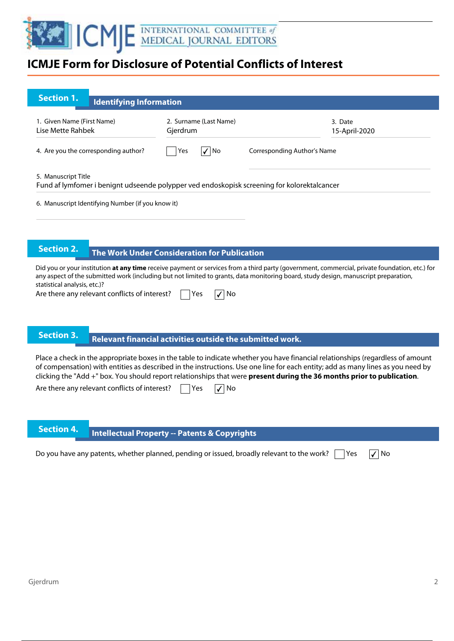

| <b>Section 1.</b><br><b>Identifying Information</b>                                                                                                                                                                                                                                                                                                                                                                                                         |                                                          |                             |  |  |  |
|-------------------------------------------------------------------------------------------------------------------------------------------------------------------------------------------------------------------------------------------------------------------------------------------------------------------------------------------------------------------------------------------------------------------------------------------------------------|----------------------------------------------------------|-----------------------------|--|--|--|
| 1. Given Name (First Name)<br>Lise Mette Rahbek                                                                                                                                                                                                                                                                                                                                                                                                             | 2. Surname (Last Name)<br>Gjerdrum                       | 3. Date<br>15-April-2020    |  |  |  |
| 4. Are you the corresponding author?                                                                                                                                                                                                                                                                                                                                                                                                                        | $\sqrt{N}$<br>Yes                                        | Corresponding Author's Name |  |  |  |
| 5. Manuscript Title<br>Fund af lymfomer i benignt udseende polypper ved endoskopisk screening for kolorektalcancer                                                                                                                                                                                                                                                                                                                                          |                                                          |                             |  |  |  |
| 6. Manuscript Identifying Number (if you know it)                                                                                                                                                                                                                                                                                                                                                                                                           |                                                          |                             |  |  |  |
|                                                                                                                                                                                                                                                                                                                                                                                                                                                             |                                                          |                             |  |  |  |
| <b>Section 2.</b>                                                                                                                                                                                                                                                                                                                                                                                                                                           | <b>The Work Under Consideration for Publication</b>      |                             |  |  |  |
| Did you or your institution at any time receive payment or services from a third party (government, commercial, private foundation, etc.) for<br>any aspect of the submitted work (including but not limited to grants, data monitoring board, study design, manuscript preparation,<br>statistical analysis, etc.)?<br>Are there any relevant conflicts of interest?<br>No<br>Yes                                                                          |                                                          |                             |  |  |  |
| <b>Section 3.</b><br>Relevant financial activities outside the submitted work.                                                                                                                                                                                                                                                                                                                                                                              |                                                          |                             |  |  |  |
| Place a check in the appropriate boxes in the table to indicate whether you have financial relationships (regardless of amount<br>of compensation) with entities as described in the instructions. Use one line for each entity; add as many lines as you need by<br>clicking the "Add +" box. You should report relationships that were present during the 36 months prior to publication.<br>Are there any relevant conflicts of interest?<br>  No<br>Yes |                                                          |                             |  |  |  |
| <b>Section 4.</b>                                                                                                                                                                                                                                                                                                                                                                                                                                           | <b>Intellectual Property -- Patents &amp; Copyrights</b> |                             |  |  |  |
| Do you have any patents, whether planned, pending or issued, broadly relevant to the work?<br>$\sqrt{ NQ}$<br>Yes                                                                                                                                                                                                                                                                                                                                           |                                                          |                             |  |  |  |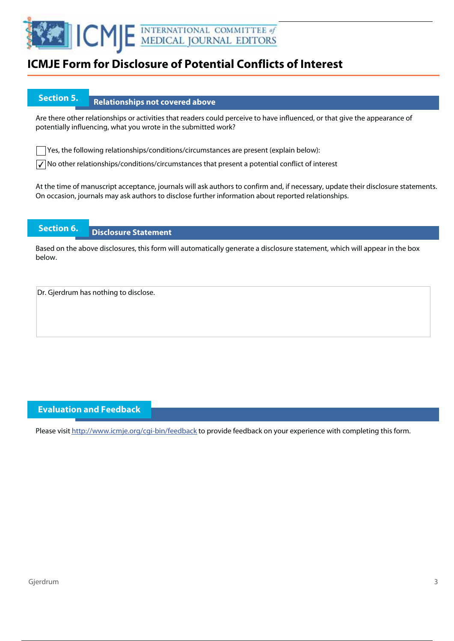

## **Section 5.** Relationships not covered above

Are there other relationships or activities that readers could perceive to have influenced, or that give the appearance of potentially influencing, what you wrote in the submitted work?

Yes, the following relationships/conditions/circumstances are present (explain below):

 $\sqrt{\sqrt{}}$  No other relationships/conditions/circumstances that present a potential conflict of interest

At the time of manuscript acceptance, journals will ask authors to confirm and, if necessary, update their disclosure statements. On occasion, journals may ask authors to disclose further information about reported relationships.

### **Section 6. Disclosure Statement**

Based on the above disclosures, this form will automatically generate a disclosure statement, which will appear in the box below.

Dr. Gjerdrum has nothing to disclose.

### **Evaluation and Feedback**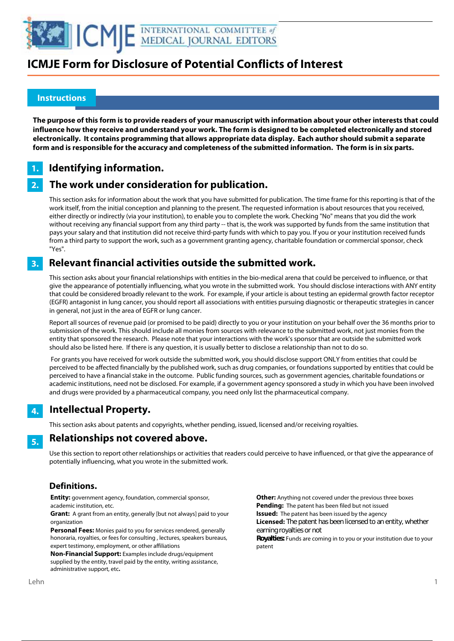

### **Instructions**

**The purpose of this form is to provide readers of your manuscript with information about your other interests that could influence how they receive and understand your work. The form is designed to be completed electronically and stored electronically. It contains programming that allows appropriate data display. Each author should submit a separate form and is responsible for the accuracy and completeness of the submitted information. The form is in six parts.** 

#### **Identifying information. 1.**

#### **The work under consideration for publication. 2.**

This section asks for information about the work that you have submitted for publication. The time frame for this reporting is that of the work itself, from the initial conception and planning to the present. The requested information is about resources that you received, either directly or indirectly (via your institution), to enable you to complete the work. Checking "No" means that you did the work without receiving any financial support from any third party -- that is, the work was supported by funds from the same institution that pays your salary and that institution did not receive third-party funds with which to pay you. If you or your institution received funds from a third party to support the work, such as a government granting agency, charitable foundation or commercial sponsor, check "Yes".

#### **Relevant financial activities outside the submitted work. 3.**

This section asks about your financial relationships with entities in the bio-medical arena that could be perceived to influence, or that give the appearance of potentially influencing, what you wrote in the submitted work. You should disclose interactions with ANY entity that could be considered broadly relevant to the work. For example, if your article is about testing an epidermal growth factor receptor (EGFR) antagonist in lung cancer, you should report all associations with entities pursuing diagnostic or therapeutic strategies in cancer in general, not just in the area of EGFR or lung cancer.

Report all sources of revenue paid (or promised to be paid) directly to you or your institution on your behalf over the 36 months prior to submission of the work. This should include all monies from sources with relevance to the submitted work, not just monies from the entity that sponsored the research. Please note that your interactions with the work's sponsor that are outside the submitted work should also be listed here. If there is any question, it is usually better to disclose a relationship than not to do so.

 For grants you have received for work outside the submitted work, you should disclose support ONLY from entities that could be perceived to be affected financially by the published work, such as drug companies, or foundations supported by entities that could be perceived to have a financial stake in the outcome. Public funding sources, such as government agencies, charitable foundations or academic institutions, need not be disclosed. For example, if a government agency sponsored a study in which you have been involved and drugs were provided by a pharmaceutical company, you need only list the pharmaceutical company.

#### **Intellectual Property. 4.**

This section asks about patents and copyrights, whether pending, issued, licensed and/or receiving royalties.

#### **Relationships not covered above. 5.**

Use this section to report other relationships or activities that readers could perceive to have influenced, or that give the appearance of potentially influencing, what you wrote in the submitted work.

### **Definitions.**

**Entity:** government agency, foundation, commercial sponsor, academic institution, etc.

**Grant:** A grant from an entity, generally [but not always] paid to your organization

**Personal Fees:** Monies paid to you for services rendered, generally honoraria, royalties, or fees for consulting , lectures, speakers bureaus, expert testimony, employment, or other affiliations

**Non-Financial Support:** Examples include drugs/equipment supplied by the entity, travel paid by the entity, writing assistance, administrative support, etc**.**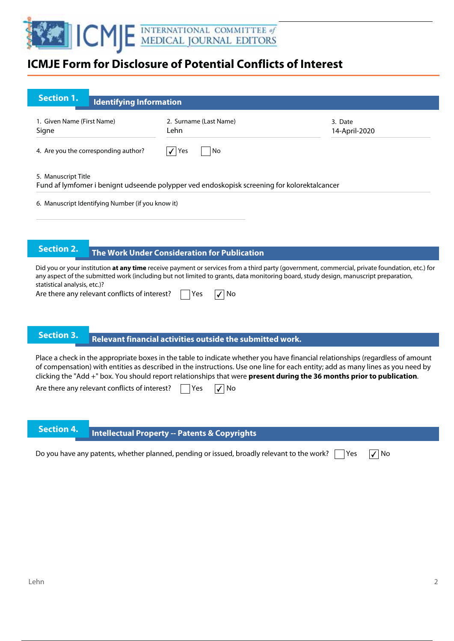

| <b>Section 1.</b><br><b>Identifying Information</b>                                                                                                                                                                                                                                                                                                                                                                                                                  |                                                           |                          |  |  |
|----------------------------------------------------------------------------------------------------------------------------------------------------------------------------------------------------------------------------------------------------------------------------------------------------------------------------------------------------------------------------------------------------------------------------------------------------------------------|-----------------------------------------------------------|--------------------------|--|--|
| 1. Given Name (First Name)<br>Signe                                                                                                                                                                                                                                                                                                                                                                                                                                  | 2. Surname (Last Name)<br>Lehn                            | 3. Date<br>14-April-2020 |  |  |
| 4. Are you the corresponding author?                                                                                                                                                                                                                                                                                                                                                                                                                                 | $\sqrt{ Y}$ es<br>No                                      |                          |  |  |
| 5. Manuscript Title<br>Fund af lymfomer i benignt udseende polypper ved endoskopisk screening for kolorektalcancer                                                                                                                                                                                                                                                                                                                                                   |                                                           |                          |  |  |
| 6. Manuscript Identifying Number (if you know it)                                                                                                                                                                                                                                                                                                                                                                                                                    |                                                           |                          |  |  |
|                                                                                                                                                                                                                                                                                                                                                                                                                                                                      |                                                           |                          |  |  |
| <b>Section 2.</b><br><b>The Work Under Consideration for Publication</b>                                                                                                                                                                                                                                                                                                                                                                                             |                                                           |                          |  |  |
| Did you or your institution at any time receive payment or services from a third party (government, commercial, private foundation, etc.) for<br>any aspect of the submitted work (including but not limited to grants, data monitoring board, study design, manuscript preparation,<br>statistical analysis, etc.)?<br>Are there any relevant conflicts of interest?<br>Yes<br>$\sqrt{ }$ No                                                                        |                                                           |                          |  |  |
| <b>Section 3.</b>                                                                                                                                                                                                                                                                                                                                                                                                                                                    |                                                           |                          |  |  |
|                                                                                                                                                                                                                                                                                                                                                                                                                                                                      | Relevant financial activities outside the submitted work. |                          |  |  |
| Place a check in the appropriate boxes in the table to indicate whether you have financial relationships (regardless of amount<br>of compensation) with entities as described in the instructions. Use one line for each entity; add as many lines as you need by<br>clicking the "Add +" box. You should report relationships that were present during the 36 months prior to publication.<br>Are there any relevant conflicts of interest?<br>$\sqrt{ }$ No<br>Yes |                                                           |                          |  |  |
| <b>Section 4.</b>                                                                                                                                                                                                                                                                                                                                                                                                                                                    | <b>Intellectual Property -- Patents &amp; Copyrights</b>  |                          |  |  |

Do you have any patents, whether planned, pending or issued, broadly relevant to the work?  $\Box$  Yes  $\Box$  No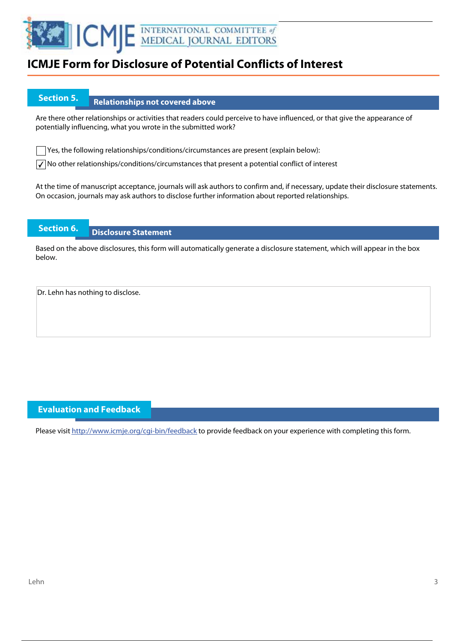

## **Section 5.** Relationships not covered above

Are there other relationships or activities that readers could perceive to have influenced, or that give the appearance of potentially influencing, what you wrote in the submitted work?

Yes, the following relationships/conditions/circumstances are present (explain below):

 $\sqrt{\sqrt{}}$  No other relationships/conditions/circumstances that present a potential conflict of interest

At the time of manuscript acceptance, journals will ask authors to confirm and, if necessary, update their disclosure statements. On occasion, journals may ask authors to disclose further information about reported relationships.

### **Section 6. Disclosure Statement**

Based on the above disclosures, this form will automatically generate a disclosure statement, which will appear in the box below.

Dr. Lehn has nothing to disclose.

### **Evaluation and Feedback**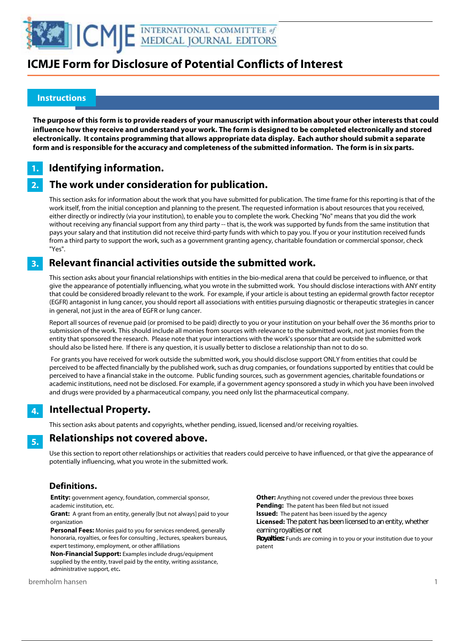

### **Instructions**

**The purpose of this form is to provide readers of your manuscript with information about your other interests that could influence how they receive and understand your work. The form is designed to be completed electronically and stored electronically. It contains programming that allows appropriate data display. Each author should submit a separate form and is responsible for the accuracy and completeness of the submitted information. The form is in six parts.** 

#### **Identifying information. 1.**

#### **The work under consideration for publication. 2.**

This section asks for information about the work that you have submitted for publication. The time frame for this reporting is that of the work itself, from the initial conception and planning to the present. The requested information is about resources that you received, either directly or indirectly (via your institution), to enable you to complete the work. Checking "No" means that you did the work without receiving any financial support from any third party -- that is, the work was supported by funds from the same institution that pays your salary and that institution did not receive third-party funds with which to pay you. If you or your institution received funds from a third party to support the work, such as a government granting agency, charitable foundation or commercial sponsor, check "Yes".

#### **Relevant financial activities outside the submitted work. 3.**

This section asks about your financial relationships with entities in the bio-medical arena that could be perceived to influence, or that give the appearance of potentially influencing, what you wrote in the submitted work. You should disclose interactions with ANY entity that could be considered broadly relevant to the work. For example, if your article is about testing an epidermal growth factor receptor (EGFR) antagonist in lung cancer, you should report all associations with entities pursuing diagnostic or therapeutic strategies in cancer in general, not just in the area of EGFR or lung cancer.

Report all sources of revenue paid (or promised to be paid) directly to you or your institution on your behalf over the 36 months prior to submission of the work. This should include all monies from sources with relevance to the submitted work, not just monies from the entity that sponsored the research. Please note that your interactions with the work's sponsor that are outside the submitted work should also be listed here. If there is any question, it is usually better to disclose a relationship than not to do so.

 For grants you have received for work outside the submitted work, you should disclose support ONLY from entities that could be perceived to be affected financially by the published work, such as drug companies, or foundations supported by entities that could be perceived to have a financial stake in the outcome. Public funding sources, such as government agencies, charitable foundations or academic institutions, need not be disclosed. For example, if a government agency sponsored a study in which you have been involved and drugs were provided by a pharmaceutical company, you need only list the pharmaceutical company.

#### **Intellectual Property. 4.**

This section asks about patents and copyrights, whether pending, issued, licensed and/or receiving royalties.

#### **Relationships not covered above. 5.**

Use this section to report other relationships or activities that readers could perceive to have influenced, or that give the appearance of potentially influencing, what you wrote in the submitted work.

### **Definitions.**

**Entity:** government agency, foundation, commercial sponsor, academic institution, etc.

**Grant:** A grant from an entity, generally [but not always] paid to your organization

**Personal Fees:** Monies paid to you for services rendered, generally honoraria, royalties, or fees for consulting , lectures, speakers bureaus, expert testimony, employment, or other affiliations

**Non-Financial Support:** Examples include drugs/equipment supplied by the entity, travel paid by the entity, writing assistance, administrative support, etc**.**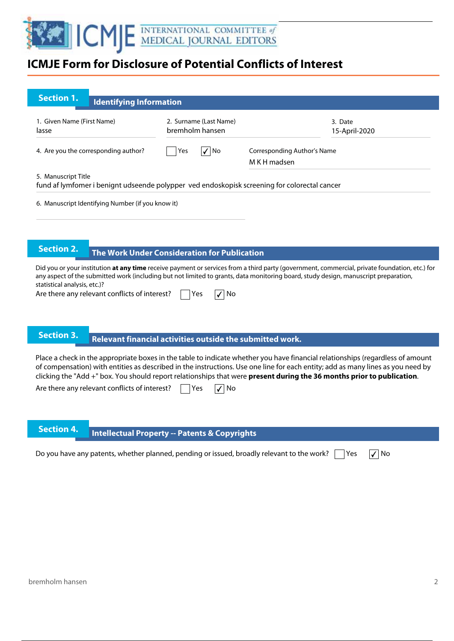

| <b>Section 1.</b><br><b>Identifying Information</b>                                                                                                                                                                                                                                                                                                                                         |                                                          |                                             |  |  |  |
|---------------------------------------------------------------------------------------------------------------------------------------------------------------------------------------------------------------------------------------------------------------------------------------------------------------------------------------------------------------------------------------------|----------------------------------------------------------|---------------------------------------------|--|--|--|
| 1. Given Name (First Name)<br>lasse                                                                                                                                                                                                                                                                                                                                                         | 2. Surname (Last Name)<br>bremholm hansen                | 3. Date<br>15-April-2020                    |  |  |  |
| 4. Are you the corresponding author?                                                                                                                                                                                                                                                                                                                                                        | No<br>Yes                                                | Corresponding Author's Name<br>M K H madsen |  |  |  |
| 5. Manuscript Title<br>fund af lymfomer i benignt udseende polypper ved endoskopisk screening for colorectal cancer                                                                                                                                                                                                                                                                         |                                                          |                                             |  |  |  |
| 6. Manuscript Identifying Number (if you know it)                                                                                                                                                                                                                                                                                                                                           |                                                          |                                             |  |  |  |
|                                                                                                                                                                                                                                                                                                                                                                                             |                                                          |                                             |  |  |  |
| <b>Section 2.</b><br><b>The Work Under Consideration for Publication</b>                                                                                                                                                                                                                                                                                                                    |                                                          |                                             |  |  |  |
| Did you or your institution at any time receive payment or services from a third party (government, commercial, private foundation, etc.) for<br>any aspect of the submitted work (including but not limited to grants, data monitoring board, study design, manuscript preparation,<br>statistical analysis, etc.)?                                                                        |                                                          |                                             |  |  |  |
| Are there any relevant conflicts of interest?                                                                                                                                                                                                                                                                                                                                               | No<br>Yes                                                |                                             |  |  |  |
|                                                                                                                                                                                                                                                                                                                                                                                             |                                                          |                                             |  |  |  |
| <b>Section 3.</b><br>Relevant financial activities outside the submitted work.                                                                                                                                                                                                                                                                                                              |                                                          |                                             |  |  |  |
| Place a check in the appropriate boxes in the table to indicate whether you have financial relationships (regardless of amount<br>of compensation) with entities as described in the instructions. Use one line for each entity; add as many lines as you need by<br>clicking the "Add +" box. You should report relationships that were present during the 36 months prior to publication. |                                                          |                                             |  |  |  |
| Are there any relevant conflicts of interest?<br>No<br>Yes                                                                                                                                                                                                                                                                                                                                  |                                                          |                                             |  |  |  |
|                                                                                                                                                                                                                                                                                                                                                                                             |                                                          |                                             |  |  |  |
| <b>Section 4.</b>                                                                                                                                                                                                                                                                                                                                                                           | <b>Intellectual Property -- Patents &amp; Copyrights</b> |                                             |  |  |  |

Do you have any patents, whether planned, pending or issued, broadly relevant to the work?  $\Box$  Yes  $\Box$  No